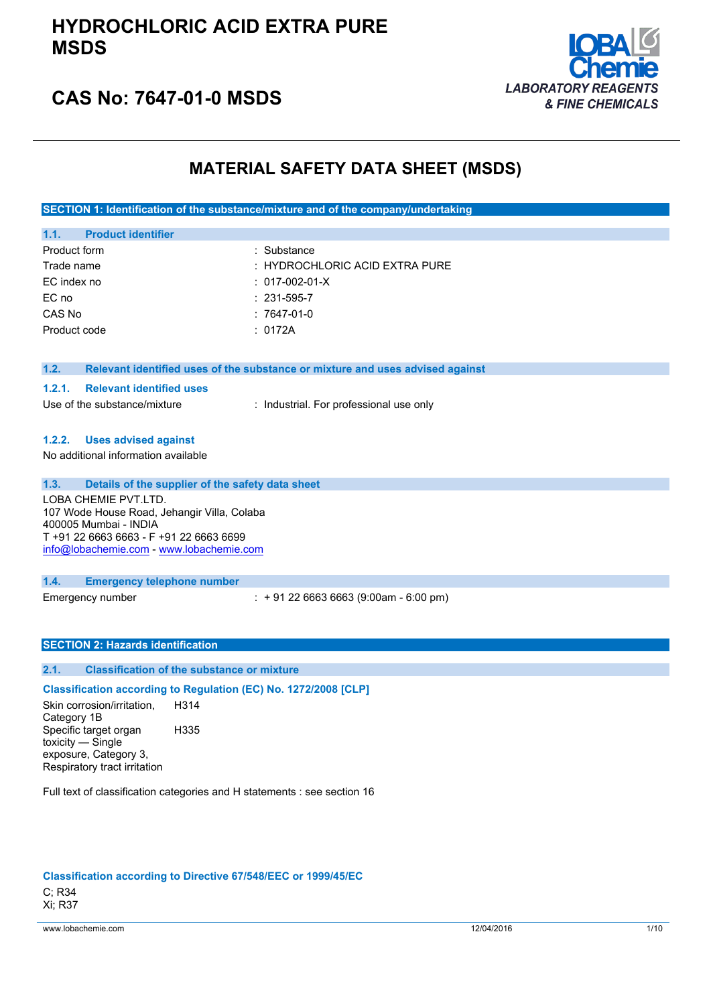

### **CAS No: 7647-01-0 MSDS**

### **MATERIAL SAFETY DATA SHEET (MSDS)**

**SECTION 1: Identification of the substance/mixture and of the company/undertaking**

| 1.1.<br><b>Product identifier</b> |                                    |
|-----------------------------------|------------------------------------|
| Product form                      | : Substance                        |
| Trade name                        | $\pm$ HYDROCHLORIC ACID EXTRA PURE |
| EC index no                       | $: 017-002-01-X$                   |
| EC no                             | $: 231 - 595 - 7$                  |
| CAS No                            | $:7647-01-0$                       |
| Product code                      | : 0172A                            |

| 1.2. | Relevant identified uses of the substance or mixture and uses advised against |  |  |  |  |  |
|------|-------------------------------------------------------------------------------|--|--|--|--|--|
|------|-------------------------------------------------------------------------------|--|--|--|--|--|

#### **1.2.1. Relevant identified uses**

Use of the substance/mixture : Industrial. For professional use only

### **1.2.2. Uses advised against**

No additional information available

#### **1.3. Details of the supplier of the safety data sheet**

LOBA CHEMIE PVT.LTD. 107 Wode House Road, Jehangir Villa, Colaba 400005 Mumbai - INDIA T +91 22 6663 6663 - F +91 22 6663 6699 [info@lobachemie.com](mailto:info@lobachemie.com) - <www.lobachemie.com>

#### **1.4. Emergency telephone number**

Emergency number : + 91 22 6663 6663 (9:00am - 6:00 pm)

#### **SECTION 2: Hazards identification**

#### **2.1. Classification of the substance or mixture**

### **Classification according to Regulation (EC) No. 1272/2008 [CLP]**

Skin corrosion/irritation, Category 1B H314 Specific target organ toxicity — Single exposure, Category 3, Respiratory tract irritation H335

Full text of classification categories and H statements : see section 16

#### **Classification according to Directive 67/548/EEC or 1999/45/EC**

C; R34 Xi; R37

www.lobachemie.com 12/04/2016 1/10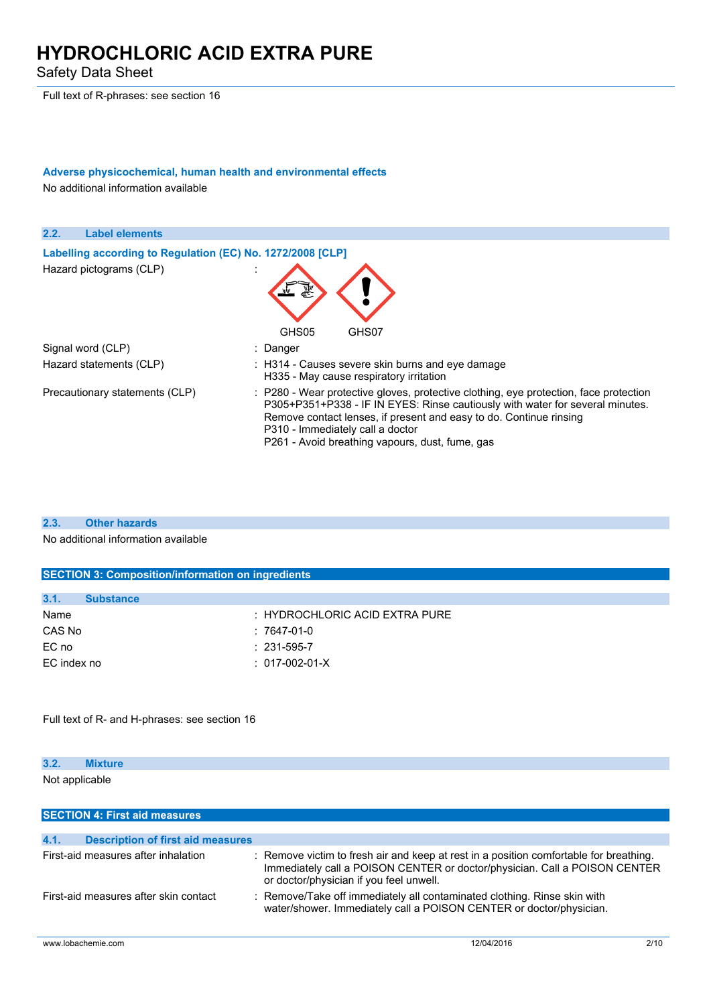Safety Data Sheet

Full text of R-phrases: see section 16

### **Adverse physicochemical, human health and environmental effects** No additional information available

**2.2. Label elements Labelling according to Regulation (EC)** No. 1272/2008 [CLP] Hazard pictograms (CLP) in the state of the state of the state of the state of the state of the state of the state of the state of the state of the state of the state of the state of the state of the state of the state of GHS05 GHS07 Signal word (CLP) : Danger Hazard statements (CLP) : H314 - Causes severe skin burns and eye damage H335 - May cause respiratory irritation Precautionary statements (CLP) : P280 - Wear protective gloves, protective clothing, eye protection, face protection P305+P351+P338 - IF IN EYES: Rinse cautiously with water for several minutes. Remove contact lenses, if present and easy to do. Continue rinsing P310 - Immediately call a doctor P261 - Avoid breathing vapours, dust, fume, gas

### **2.3. Other hazards**

No additional information available

### **SECTION 3: Composition/information on ingredients 3.1. Substance** Name : HYDROCHLORIC ACID EXTRA PURE CAS No : 7647-01-0 EC no : 231-595-7 EC index no : 017-002-01-X

Full text of R- and H-phrases: see section 16

#### **3.2. Mixture**

Not applicable

| <b>SECTION 4: First aid measures</b>             |                                                                                                                                                                                                                 |  |
|--------------------------------------------------|-----------------------------------------------------------------------------------------------------------------------------------------------------------------------------------------------------------------|--|
|                                                  |                                                                                                                                                                                                                 |  |
| 4.1.<br><b>Description of first aid measures</b> |                                                                                                                                                                                                                 |  |
| First-aid measures after inhalation              | : Remove victim to fresh air and keep at rest in a position comfortable for breathing.<br>Immediately call a POISON CENTER or doctor/physician. Call a POISON CENTER<br>or doctor/physician if you feel unwell. |  |
| First-aid measures after skin contact            | : Remove/Take off immediately all contaminated clothing. Rinse skin with<br>water/shower. Immediately call a POISON CENTER or doctor/physician.                                                                 |  |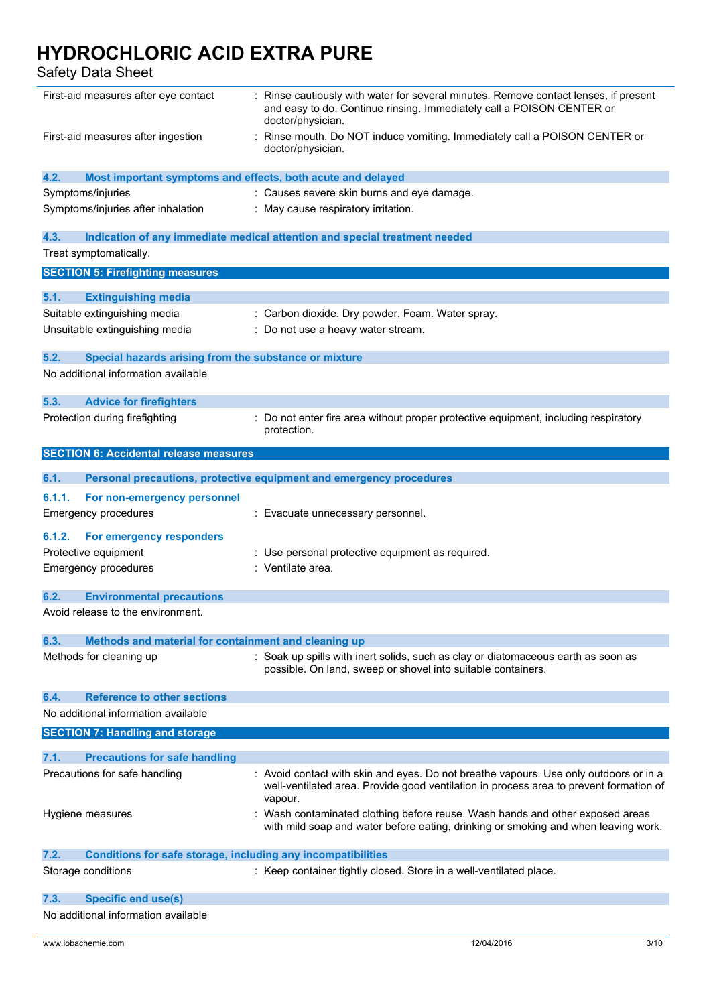| First-aid measures after eye contact                                        | Rinse cautiously with water for several minutes. Remove contact lenses, if present<br>and easy to do. Continue rinsing. Immediately call a POISON CENTER or<br>doctor/physician. |
|-----------------------------------------------------------------------------|----------------------------------------------------------------------------------------------------------------------------------------------------------------------------------|
| First-aid measures after ingestion                                          | Rinse mouth. Do NOT induce vomiting. Immediately call a POISON CENTER or<br>doctor/physician.                                                                                    |
| 4.2.<br>Most important symptoms and effects, both acute and delayed         |                                                                                                                                                                                  |
| Symptoms/injuries                                                           | : Causes severe skin burns and eye damage.                                                                                                                                       |
| Symptoms/injuries after inhalation                                          | : May cause respiratory irritation.                                                                                                                                              |
| 4.3.                                                                        | Indication of any immediate medical attention and special treatment needed                                                                                                       |
| Treat symptomatically.                                                      |                                                                                                                                                                                  |
| <b>SECTION 5: Firefighting measures</b>                                     |                                                                                                                                                                                  |
| 5.1.<br><b>Extinguishing media</b>                                          |                                                                                                                                                                                  |
| Suitable extinguishing media                                                | : Carbon dioxide. Dry powder. Foam. Water spray.                                                                                                                                 |
| Unsuitable extinguishing media                                              | : Do not use a heavy water stream.                                                                                                                                               |
|                                                                             |                                                                                                                                                                                  |
| 5.2.<br>Special hazards arising from the substance or mixture               |                                                                                                                                                                                  |
| No additional information available                                         |                                                                                                                                                                                  |
| 5.3.<br><b>Advice for firefighters</b>                                      |                                                                                                                                                                                  |
| Protection during firefighting                                              | Do not enter fire area without proper protective equipment, including respiratory<br>protection.                                                                                 |
| <b>SECTION 6: Accidental release measures</b>                               |                                                                                                                                                                                  |
| 6.1.                                                                        | Personal precautions, protective equipment and emergency procedures                                                                                                              |
| 6.1.1.<br>For non-emergency personnel                                       |                                                                                                                                                                                  |
| <b>Emergency procedures</b>                                                 | : Evacuate unnecessary personnel.                                                                                                                                                |
|                                                                             |                                                                                                                                                                                  |
| 6.1.2.<br>For emergency responders                                          |                                                                                                                                                                                  |
| Protective equipment                                                        | : Use personal protective equipment as required.                                                                                                                                 |
| <b>Emergency procedures</b>                                                 | : Ventilate area.                                                                                                                                                                |
| 6.2.<br><b>Environmental precautions</b>                                    |                                                                                                                                                                                  |
| Avoid release to the environment.                                           |                                                                                                                                                                                  |
| 6.3.<br>Methods and material for containment and cleaning up                |                                                                                                                                                                                  |
| Methods for cleaning up                                                     | : Soak up spills with inert solids, such as clay or diatomaceous earth as soon as                                                                                                |
|                                                                             | possible. On land, sweep or shovel into suitable containers.                                                                                                                     |
| <b>Reference to other sections</b><br>6.4.                                  |                                                                                                                                                                                  |
| No additional information available                                         |                                                                                                                                                                                  |
| <b>SECTION 7: Handling and storage</b>                                      |                                                                                                                                                                                  |
| 7.1.<br><b>Precautions for safe handling</b>                                |                                                                                                                                                                                  |
| Precautions for safe handling                                               | : Avoid contact with skin and eyes. Do not breathe vapours. Use only outdoors or in a                                                                                            |
|                                                                             | well-ventilated area. Provide good ventilation in process area to prevent formation of<br>vapour.                                                                                |
| Hygiene measures                                                            | : Wash contaminated clothing before reuse. Wash hands and other exposed areas                                                                                                    |
|                                                                             | with mild soap and water before eating, drinking or smoking and when leaving work.                                                                                               |
| <b>Conditions for safe storage, including any incompatibilities</b><br>7.2. |                                                                                                                                                                                  |
| Storage conditions                                                          | : Keep container tightly closed. Store in a well-ventilated place.                                                                                                               |
| <b>Specific end use(s)</b><br>7.3.                                          |                                                                                                                                                                                  |
| No additional information available                                         |                                                                                                                                                                                  |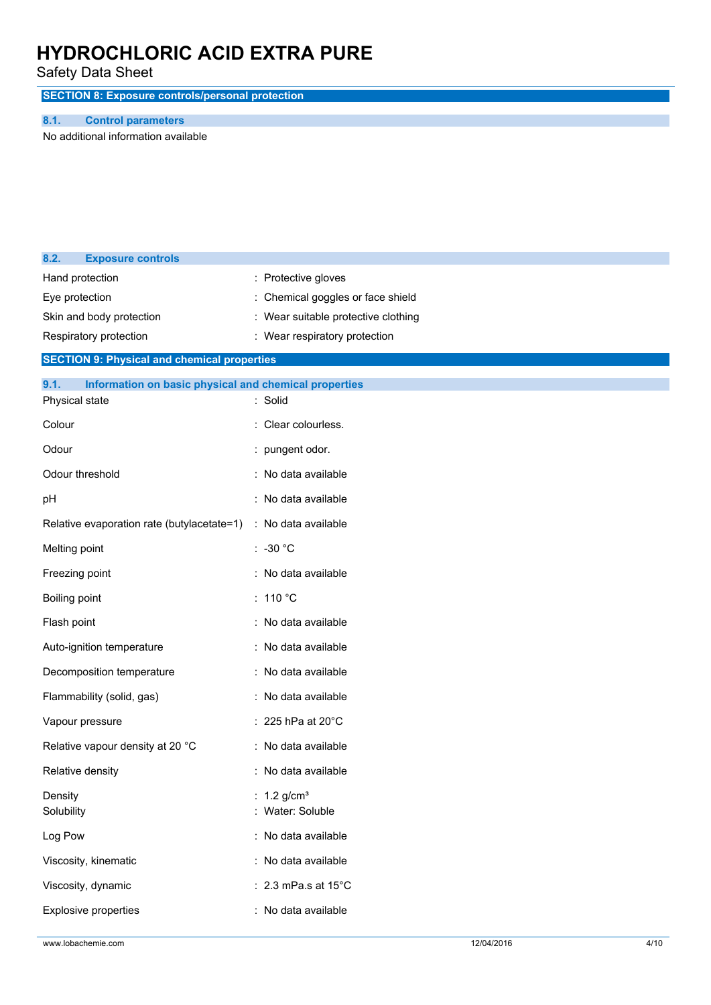Safety Data Sheet

**SECTION 8: Exposure controls/personal protection**

### **8.1. Control parameters**

No additional information available

| 8.2.          | <b>Exposure controls</b>                              |                                     |
|---------------|-------------------------------------------------------|-------------------------------------|
|               | Hand protection                                       | : Protective gloves                 |
|               | Eye protection                                        | Chemical goggles or face shield     |
|               | Skin and body protection                              | : Wear suitable protective clothing |
|               | Respiratory protection                                | : Wear respiratory protection       |
|               | <b>SECTION 9: Physical and chemical properties</b>    |                                     |
| 9.1.          | Information on basic physical and chemical properties |                                     |
|               | Physical state                                        | : Solid                             |
| Colour        |                                                       | Clear colourless.                   |
| Odour         |                                                       | : pungent odor.                     |
|               | Odour threshold                                       | : No data available                 |
| pН            |                                                       | : No data available                 |
|               | Relative evaporation rate (butylacetate=1)            | : No data available                 |
| Melting point |                                                       | $: -30 °C$                          |
|               | Freezing point                                        | : No data available                 |
| Boiling point |                                                       | : 110 $^{\circ}$ C                  |
| Flash point   |                                                       | : No data available                 |
|               | Auto-ignition temperature                             | : No data available                 |
|               | Decomposition temperature                             | : No data available                 |
|               | Flammability (solid, gas)                             | : No data available                 |
|               | Vapour pressure                                       | : 225 hPa at 20°C                   |
|               | Relative vapour density at 20 °C                      | : No data available                 |
|               | Relative density                                      | No data available                   |
| Density       |                                                       | : $1.2$ g/cm <sup>3</sup>           |
| Solubility    |                                                       | : Water: Soluble                    |
| Log Pow       |                                                       | : No data available                 |
|               | Viscosity, kinematic                                  | : No data available                 |
|               | Viscosity, dynamic                                    | $: 2.3$ mPa.s at 15 $^{\circ}$ C    |
|               | Explosive properties                                  | : No data available                 |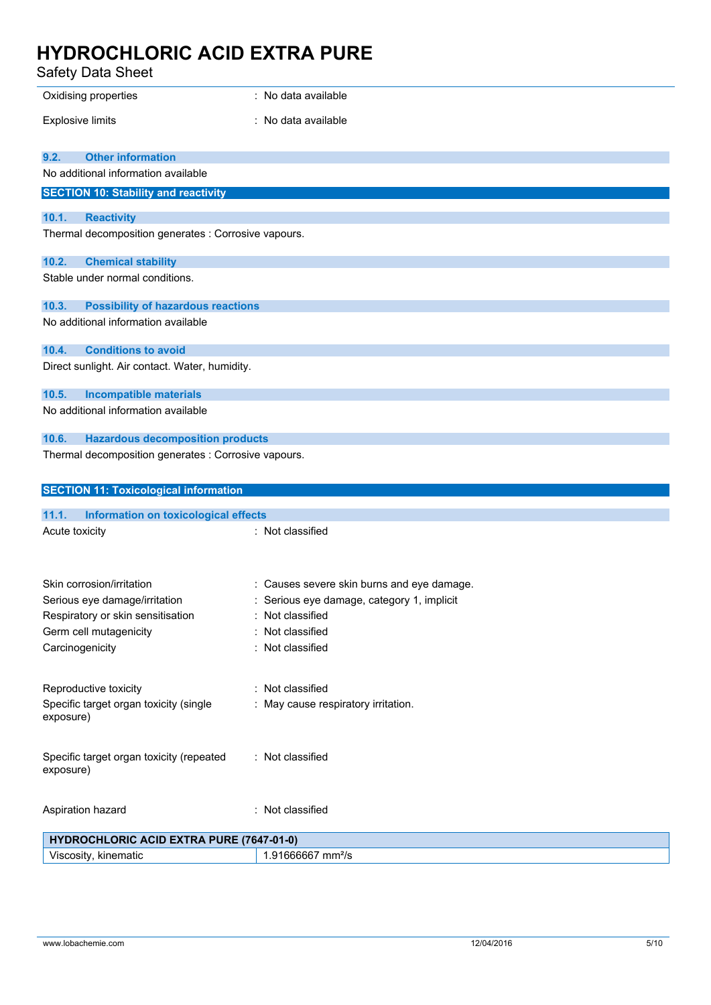| Oxidising properties                                 | : No data available                        |
|------------------------------------------------------|--------------------------------------------|
| <b>Explosive limits</b>                              | : No data available                        |
|                                                      |                                            |
| <b>Other information</b><br>9.2.                     |                                            |
| No additional information available                  |                                            |
| <b>SECTION 10: Stability and reactivity</b>          |                                            |
|                                                      |                                            |
| 10.1.<br><b>Reactivity</b>                           |                                            |
| Thermal decomposition generates : Corrosive vapours. |                                            |
| 10.2.<br><b>Chemical stability</b>                   |                                            |
| Stable under normal conditions.                      |                                            |
| <b>Possibility of hazardous reactions</b><br>10.3.   |                                            |
| No additional information available                  |                                            |
|                                                      |                                            |
| 10.4.<br><b>Conditions to avoid</b>                  |                                            |
| Direct sunlight. Air contact. Water, humidity.       |                                            |
| 10.5.<br><b>Incompatible materials</b>               |                                            |
| No additional information available                  |                                            |
|                                                      |                                            |
| 10.6.<br><b>Hazardous decomposition products</b>     |                                            |
| Thermal decomposition generates : Corrosive vapours. |                                            |
|                                                      |                                            |
| <b>SECTION 11: Toxicological information</b>         |                                            |
| 11.1.<br>Information on toxicological effects        |                                            |
| Acute toxicity                                       | : Not classified                           |
|                                                      |                                            |
|                                                      |                                            |
| Skin corrosion/irritation                            | : Causes severe skin burns and eye damage. |
| Serious eye damage/irritation                        | : Serious eye damage, category 1, implicit |
| Respiratory or skin sensitisation                    | Not classified                             |
| Germ cell mutagenicity                               | : Not classified                           |
| Carcinogenicity                                      | : Not classified                           |
|                                                      |                                            |
| Reproductive toxicity                                | : Not classified                           |
| Specific target organ toxicity (single               | : May cause respiratory irritation.        |
| exposure)                                            |                                            |
|                                                      |                                            |
| Specific target organ toxicity (repeated             | : Not classified                           |
| exposure)                                            |                                            |
|                                                      |                                            |
| Aspiration hazard                                    | : Not classified                           |
| <b>HYDROCHLORIC ACID EXTRA PURE (7647-01-0)</b>      |                                            |
| Viscosity, kinematic                                 | 1.91666667 mm <sup>2</sup> /s              |
|                                                      |                                            |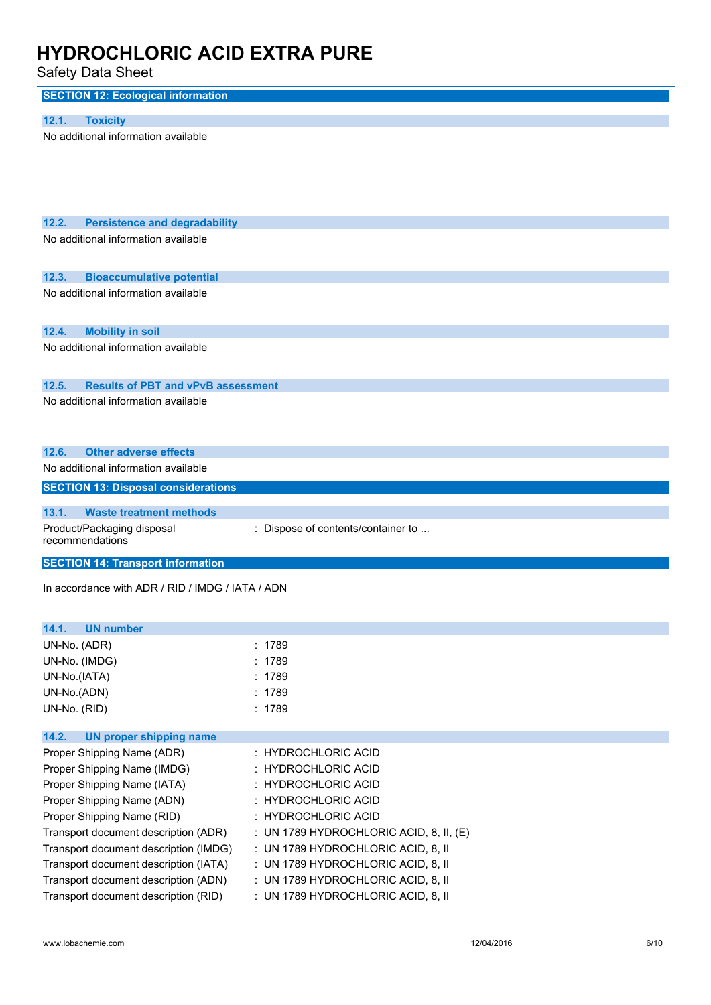| <b>SECTION 12: Ecological information</b>                                    |                                                                          |
|------------------------------------------------------------------------------|--------------------------------------------------------------------------|
|                                                                              |                                                                          |
| 12.1.<br><b>Toxicity</b>                                                     |                                                                          |
| No additional information available                                          |                                                                          |
|                                                                              |                                                                          |
| 12.2.<br><b>Persistence and degradability</b>                                |                                                                          |
| No additional information available                                          |                                                                          |
|                                                                              |                                                                          |
| 12.3.<br><b>Bioaccumulative potential</b>                                    |                                                                          |
| No additional information available                                          |                                                                          |
|                                                                              |                                                                          |
| 12.4.<br><b>Mobility in soil</b>                                             |                                                                          |
| No additional information available                                          |                                                                          |
|                                                                              |                                                                          |
| 12.5.<br><b>Results of PBT and vPvB assessment</b>                           |                                                                          |
| No additional information available                                          |                                                                          |
|                                                                              |                                                                          |
|                                                                              |                                                                          |
| 12.6.<br><b>Other adverse effects</b>                                        |                                                                          |
| No additional information available                                          |                                                                          |
| <b>SECTION 13: Disposal considerations</b>                                   |                                                                          |
| 13.1.<br><b>Waste treatment methods</b>                                      |                                                                          |
| Product/Packaging disposal<br>recommendations                                | : Dispose of contents/container to                                       |
| <b>SECTION 14: Transport information</b>                                     |                                                                          |
| In accordance with ADR / RID / IMDG / IATA / ADN                             |                                                                          |
| 14.1.<br><b>UN number</b>                                                    |                                                                          |
| UN-No. (ADR)                                                                 | : 1789                                                                   |
| UN-No. (IMDG)                                                                | : 1789                                                                   |
| UN-No.(IATA)                                                                 | : 1789                                                                   |
| UN-No.(ADN)                                                                  | : 1789                                                                   |
| UN-No. (RID)                                                                 | : 1789                                                                   |
| 14.2.<br><b>UN proper shipping name</b>                                      |                                                                          |
| Proper Shipping Name (ADR)                                                   | : HYDROCHLORIC ACID                                                      |
| Proper Shipping Name (IMDG)                                                  | : HYDROCHLORIC ACID                                                      |
| Proper Shipping Name (IATA)                                                  | : HYDROCHLORIC ACID                                                      |
| Proper Shipping Name (ADN)                                                   | : HYDROCHLORIC ACID                                                      |
| Proper Shipping Name (RID)                                                   | : HYDROCHLORIC ACID                                                      |
| Transport document description (ADR)                                         | : UN 1789 HYDROCHLORIC ACID, 8, II, $(E)$                                |
| Transport document description (IMDG)                                        | : UN 1789 HYDROCHLORIC ACID, 8, II                                       |
| Transport document description (IATA)                                        | : UN 1789 HYDROCHLORIC ACID, 8, II                                       |
| Transport document description (ADN)<br>Transport document description (RID) | : UN 1789 HYDROCHLORIC ACID, 8, II<br>: UN 1789 HYDROCHLORIC ACID, 8, II |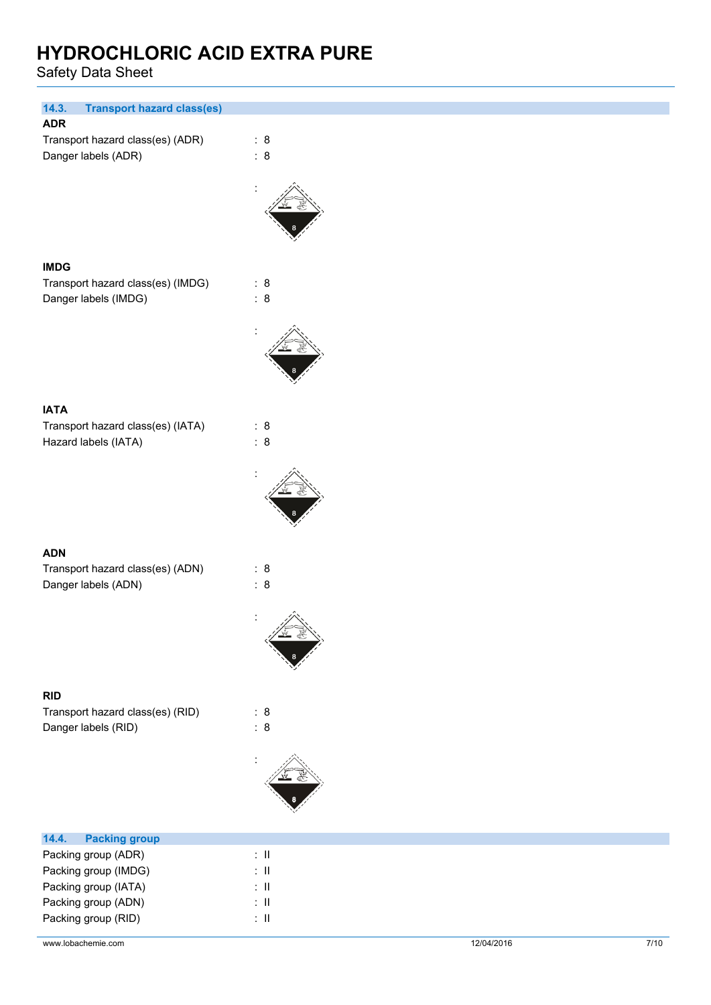| <b>Transport hazard class(es)</b><br>14.3.<br><b>ADR</b>  |                           |
|-----------------------------------------------------------|---------------------------|
| Transport hazard class(es) (ADR)<br>Danger labels (ADR)   | : 8<br>: 8                |
|                                                           |                           |
| <b>IMDG</b>                                               |                           |
| Transport hazard class(es) (IMDG)<br>Danger labels (IMDG) | : 8<br>: 8                |
|                                                           |                           |
|                                                           |                           |
| <b>IATA</b><br>Transport hazard class(es) (IATA)          | : 8                       |
| Hazard labels (IATA)                                      | : 8                       |
|                                                           |                           |
| <b>ADN</b>                                                |                           |
| Transport hazard class(es) (ADN)                          | : 8                       |
| Danger labels (ADN)                                       | : 8                       |
|                                                           |                           |
|                                                           |                           |
| <b>RID</b><br>Transport hazard class(es) (RID)            | : 8                       |
| Danger labels (RID)                                       | : 8                       |
|                                                           |                           |
| 14.4.<br><b>Packing group</b>                             |                           |
| Packing group (ADR)                                       | $\div$ II                 |
| Packing group (IMDG)                                      | $:$ $\Pi$                 |
| Packing group (IATA)                                      | $\colon \, \mathrm{I\!I}$ |
| Packing group (ADN)                                       | $\div$ II                 |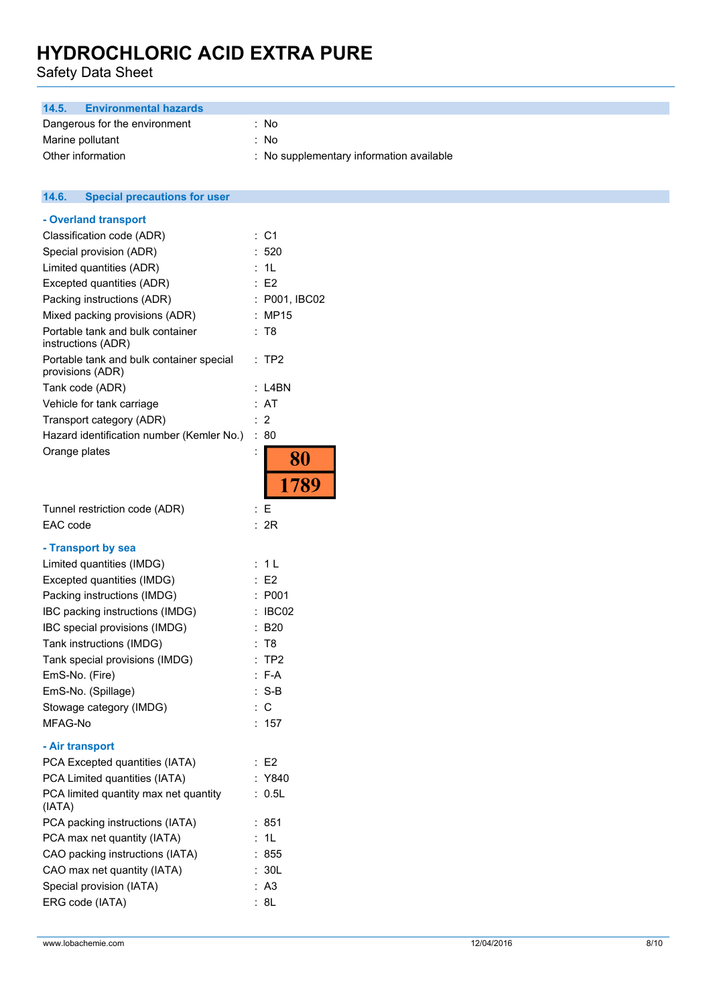**14.6. Special precautions for user**

Safety Data Sheet

 $14.6.$ 

| 14.5.            | <b>Environmental hazards</b>  |                                          |
|------------------|-------------------------------|------------------------------------------|
|                  | Dangerous for the environment | : No                                     |
| Marine pollutant |                               | ∴ No                                     |
|                  | Other information             | : No supplementary information available |

| - Overland transport                                         |                      |
|--------------------------------------------------------------|----------------------|
| Classification code (ADR)                                    | :C1                  |
| Special provision (ADR)                                      | 520                  |
| Limited quantities (ADR)                                     | : 1L                 |
| Excepted quantities (ADR)                                    | : E2                 |
| Packing instructions (ADR)                                   | : P001, IBC02        |
| Mixed packing provisions (ADR)                               | : MP15               |
| Portable tank and bulk container<br>instructions (ADR)       | ÷<br>T8              |
| Portable tank and bulk container special<br>provisions (ADR) | TP <sub>2</sub><br>÷ |
| Tank code (ADR)                                              | : L4BN               |
| Vehicle for tank carriage                                    | AT<br>t.             |
| Transport category (ADR)                                     | 2                    |
| Hazard identification number (Kemler No.)                    | ÷<br>80              |
| Orange plates                                                | $\ddot{\cdot}$<br>80 |
|                                                              | 1789                 |
| Tunnel restriction code (ADR)                                | : F                  |
| EAC code                                                     | : 2R                 |
|                                                              |                      |
| - Transport by sea<br>Limited quantities (IMDG)              | 1 L                  |
| Excepted quantities (IMDG)                                   | : E2                 |
| Packing instructions (IMDG)                                  | :P001                |
|                                                              | IBC02                |
| IBC packing instructions (IMDG)                              | <b>B20</b>           |
| IBC special provisions (IMDG)                                |                      |
| Tank instructions (IMDG)                                     | : T8                 |
| Tank special provisions (IMDG)                               | :TP2                 |
| EmS-No. (Fire)                                               | $: F-A$              |
| EmS-No. (Spillage)                                           | $: S-B$              |
| Stowage category (IMDG)                                      | : C                  |
| MFAG-No                                                      | 157                  |
| - Air transport                                              |                      |
| PCA Excepted quantities (IATA)                               | E <sub>2</sub>       |
| PCA Limited quantities (IATA)                                | Y840                 |
| PCA limited quantity max net quantity<br>(IATA)              | 0.5L                 |
| PCA packing instructions (IATA)                              | 851                  |
| PCA max net quantity (IATA)                                  | 1L                   |

CAO packing instructions (IATA) : 855 CAO max net quantity (IATA) : 30L Special provision (IATA) : A3 ERG code (IATA) : 8L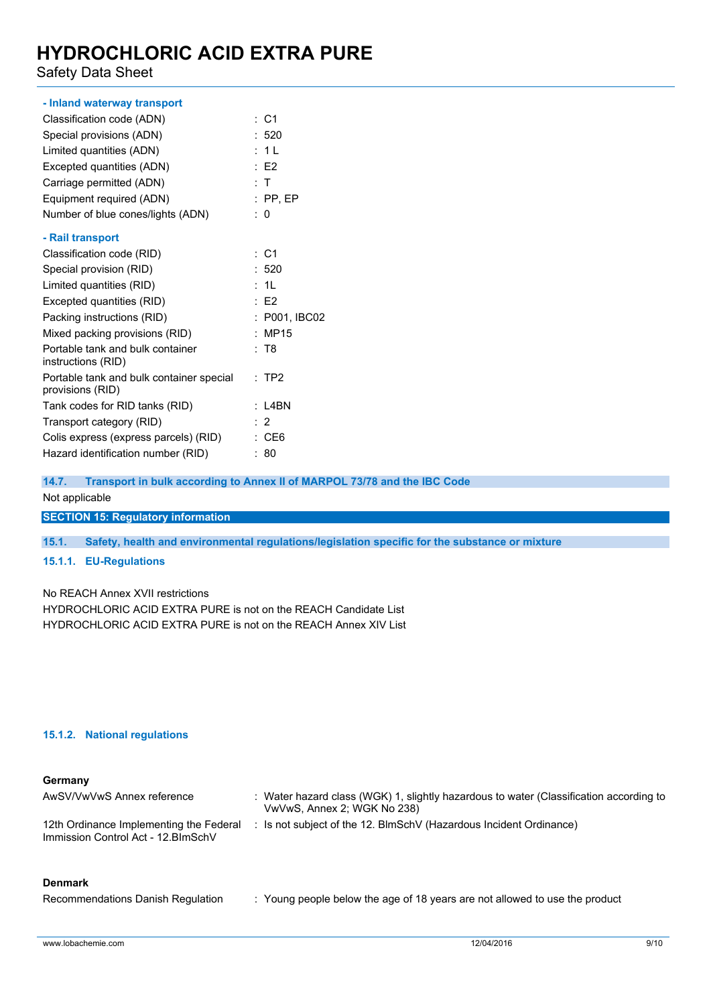Safety Data Sheet

| - Inland waterway transport                                  |                 |
|--------------------------------------------------------------|-----------------|
| Classification code (ADN)                                    | $\therefore$ C1 |
| Special provisions (ADN)                                     | : 520           |
| Limited quantities (ADN)                                     | : 11            |
| Excepted quantities (ADN)                                    | E2              |
| Carriage permitted (ADN)                                     | : T             |
| Equipment required (ADN)                                     | $:$ PP. EP      |
| Number of blue cones/lights (ADN)                            | : 0             |
| - Rail transport                                             |                 |
| Classification code (RID)                                    | $\therefore$ C1 |
| Special provision (RID)                                      | : 520           |
| Limited quantities (RID)                                     | : 1L            |
| Excepted quantities (RID)                                    | $E$ F2          |
| Packing instructions (RID)                                   | : P001, IBC02   |
| Mixed packing provisions (RID)                               | : MP15          |
| Portable tank and bulk container<br>instructions (RID)       | : T8            |
| Portable tank and bulk container special<br>provisions (RID) | $:$ TP2         |
| Tank codes for RID tanks (RID)                               | $:$ L4BN        |
| Transport category (RID)                                     | $\cdot$ 2       |
| Colis express (express parcels) (RID)                        | : CE6           |
| Hazard identification number (RID)                           | : 80            |

**14.7. Transport in bulk according to Annex II of MARPOL 73/78 and the IBC Code**

Not applicable

### **SECTION 15: Regulatory information**

**15.1. Safety, health and environmental regulations/legislation specific for the substance or mixture**

### **15.1.1. EU-Regulations**

No REACH Annex XVII restrictions

HYDROCHLORIC ACID EXTRA PURE is not on the REACH Candidate List HYDROCHLORIC ACID EXTRA PURE is not on the REACH Annex XIV List

### **15.1.2. National regulations**

### **Germany**

| AwSV/VwVwS Annex reference                                                     | Water hazard class (WGK) 1, slightly hazardous to water (Classification according to<br>VwVwS, Annex 2; WGK No 238) |
|--------------------------------------------------------------------------------|---------------------------------------------------------------------------------------------------------------------|
| 12th Ordinance Implementing the Federal<br>Immission Control Act - 12. BlmSchV | : Is not subject of the 12. BlmSchV (Hazardous Incident Ordinance)                                                  |

### **Denmark**

Recommendations Danish Regulation : Young people below the age of 18 years are not allowed to use the product